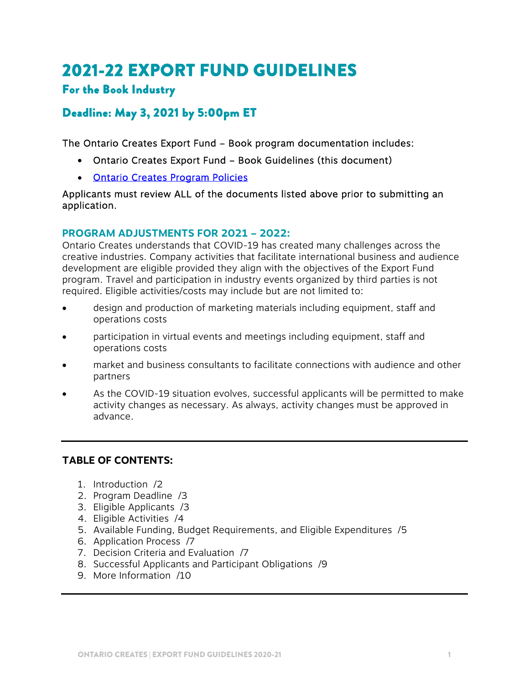# 2021-22 EXPORT FUND GUIDELINES

# For the Book Industry

# Deadline: May 3, 2021 by 5:00pm ET

The Ontario Creates Export Fund – Book program documentation includes:

- Ontario Creates Export Fund Book Guidelines (this document)
- [Ontario Creates Program Policies](https://ontariocreates.ca/uploads/Industry_Initiatives/ENG/OC-Program-Policies_FINAL.pdf)

Applicants must review ALL of the documents listed above prior to submitting an application.

#### **PROGRAM ADJUSTMENTS FOR 2021 – 2022:**

Ontario Creates understands that COVID-19 has created many challenges across the creative industries. Company activities that facilitate international business and audience development are eligible provided they align with the objectives of the Export Fund program. Travel and participation in industry events organized by third parties is not required. Eligible activities/costs may include but are not limited to:

- design and production of marketing materials including equipment, staff and operations costs
- participation in virtual events and meetings including equipment, staff and operations costs
- market and business consultants to facilitate connections with audience and other partners
- As the COVID-19 situation evolves, successful applicants will be permitted to make activity changes as necessary. As always, activity changes must be approved in advance.

### **TABLE OF CONTENTS:**

- 1. Introduction /2
- 2. Program Deadline /3
- 3. Eligible Applicants /3
- 4. Eligible Activities /4
- 5. Available Funding, Budget Requirements, and Eligible Expenditures /5
- 6. Application Process /7
- 7. Decision Criteria and Evaluation /7
- 8. Successful Applicants and Participant Obligations /9
- 9. More Information /10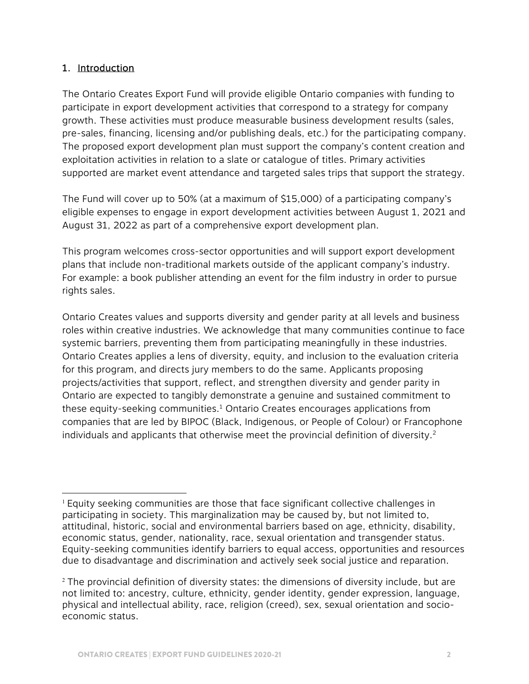#### 1. Introduction

 $\overline{a}$ 

The Ontario Creates Export Fund will provide eligible Ontario companies with funding to participate in export development activities that correspond to a strategy for company growth. These activities must produce measurable business development results (sales, pre-sales, financing, licensing and/or publishing deals, etc.) for the participating company. The proposed export development plan must support the company's content creation and exploitation activities in relation to a slate or catalogue of titles. Primary activities supported are market event attendance and targeted sales trips that support the strategy.

The Fund will cover up to 50% (at a maximum of \$15,000) of a participating company's eligible expenses to engage in export development activities between August 1, 2021 and August 31, 2022 as part of a comprehensive export development plan.

This program welcomes cross-sector opportunities and will support export development plans that include non-traditional markets outside of the applicant company's industry. For example: a book publisher attending an event for the film industry in order to pursue rights sales.

Ontario Creates values and supports diversity and gender parity at all levels and business roles within creative industries. We acknowledge that many communities continue to face systemic barriers, preventing them from participating meaningfully in these industries. Ontario Creates applies a lens of diversity, equity, and inclusion to the evaluation criteria for this program, and directs jury members to do the same. Applicants proposing projects/activities that support, reflect, and strengthen diversity and gender parity in Ontario are expected to tangibly demonstrate a genuine and sustained commitment to these equity-seeking communities.<sup>1</sup> Ontario Creates encourages applications from companies that are led by BIPOC (Black, Indigenous, or People of Colour) or Francophone individuals and applicants that otherwise meet the provincial definition of diversity. $2^{\circ}$ 

<sup>&</sup>lt;sup>1</sup> Equity seeking communities are those that face significant collective challenges in participating in society. This marginalization may be caused by, but not limited to, attitudinal, historic, social and environmental barriers based on age, ethnicity, disability, economic status, gender, nationality, race, sexual orientation and transgender status. Equity-seeking communities identify barriers to equal access, opportunities and resources due to disadvantage and discrimination and actively seek social justice and reparation.

 $2$  The provincial definition of diversity states: the dimensions of diversity include, but are not limited to: ancestry, culture, ethnicity, gender identity, gender expression, language, physical and intellectual ability, race, religion (creed), sex, sexual orientation and socioeconomic status.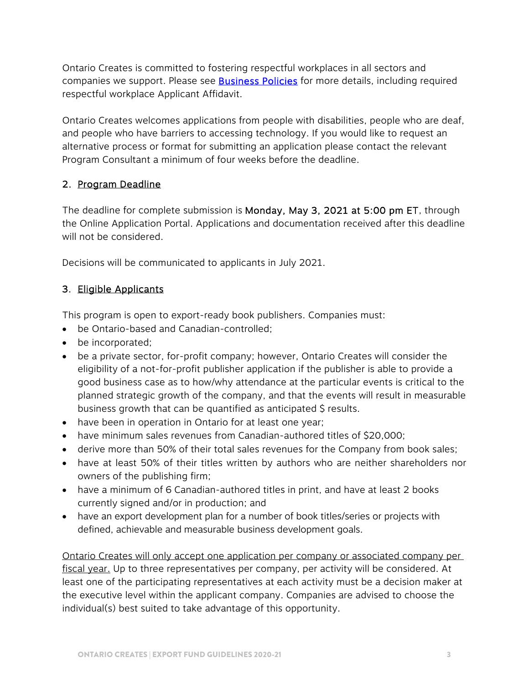Ontario Creates is committed to fostering respectful workplaces in all sectors and companies we support. Please see **Business Policies** for more details, including required respectful workplace Applicant Affidavit.

Ontario Creates welcomes applications from people with disabilities, people who are deaf, and people who have barriers to accessing technology. If you would like to request an alternative process or format for submitting an application please contact the relevant Program Consultant a minimum of four weeks before the deadline.

### 2. Program Deadline

The deadline for complete submission is Monday, May 3, 2021 at 5:00 pm ET, through the Online Application Portal. Applications and documentation received after this deadline will not be considered.

Decisions will be communicated to applicants in July 2021.

## 3. Eligible Applicants

This program is open to export-ready book publishers. Companies must:

- be Ontario-based and Canadian-controlled;
- be incorporated;
- be a private sector, for-profit company; however, Ontario Creates will consider the eligibility of a not-for-profit publisher application if the publisher is able to provide a good business case as to how/why attendance at the particular events is critical to the planned strategic growth of the company, and that the events will result in measurable business growth that can be quantified as anticipated \$ results.
- have been in operation in Ontario for at least one year;
- have minimum sales revenues from Canadian-authored titles of \$20,000;
- derive more than 50% of their total sales revenues for the Company from book sales;
- have at least 50% of their titles written by authors who are neither shareholders nor owners of the publishing firm;
- have a minimum of 6 Canadian-authored titles in print, and have at least 2 books currently signed and/or in production; and
- have an export development plan for a number of book titles/series or projects with defined, achievable and measurable business development goals.

Ontario Creates will only accept one application per company or associated company per fiscal year. Up to three representatives per company, per activity will be considered. At least one of the participating representatives at each activity must be a decision maker at the executive level within the applicant company. Companies are advised to choose the individual(s) best suited to take advantage of this opportunity.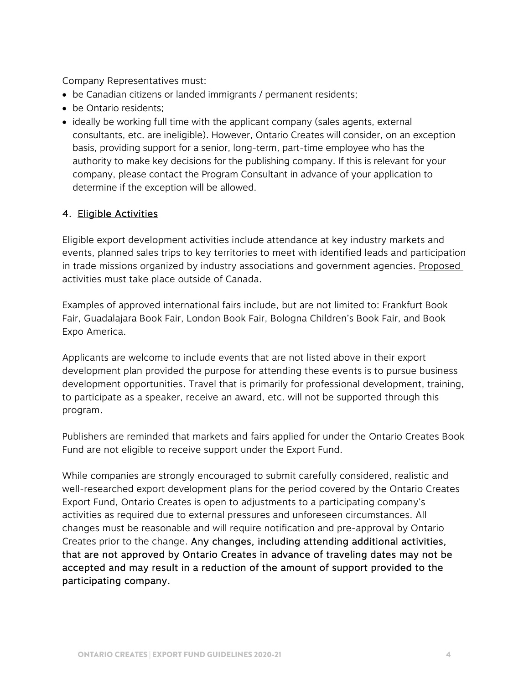Company Representatives must:

- be Canadian citizens or landed immigrants / permanent residents;
- be Ontario residents:
- ideally be working full time with the applicant company (sales agents, external consultants, etc. are ineligible). However, Ontario Creates will consider, on an exception basis, providing support for a senior, long-term, part-time employee who has the authority to make key decisions for the publishing company. If this is relevant for your company, please contact the Program Consultant in advance of your application to determine if the exception will be allowed.

#### 4. Eligible Activities

Eligible export development activities include attendance at key industry markets and events, planned sales trips to key territories to meet with identified leads and participation in trade missions organized by industry associations and government agencies. Proposed activities must take place outside of Canada.

Examples of approved international fairs include, but are not limited to: Frankfurt Book Fair, Guadalajara Book Fair, London Book Fair, Bologna Children's Book Fair, and Book Expo America.

Applicants are welcome to include events that are not listed above in their export development plan provided the purpose for attending these events is to pursue business development opportunities. Travel that is primarily for professional development, training, to participate as a speaker, receive an award, etc. will not be supported through this program.

Publishers are reminded that markets and fairs applied for under the Ontario Creates Book Fund are not eligible to receive support under the Export Fund.

While companies are strongly encouraged to submit carefully considered, realistic and well-researched export development plans for the period covered by the Ontario Creates Export Fund, Ontario Creates is open to adjustments to a participating company's activities as required due to external pressures and unforeseen circumstances. All changes must be reasonable and will require notification and pre-approval by Ontario Creates prior to the change. Any changes, including attending additional activities, that are not approved by Ontario Creates in advance of traveling dates may not be accepted and may result in a reduction of the amount of support provided to the participating company.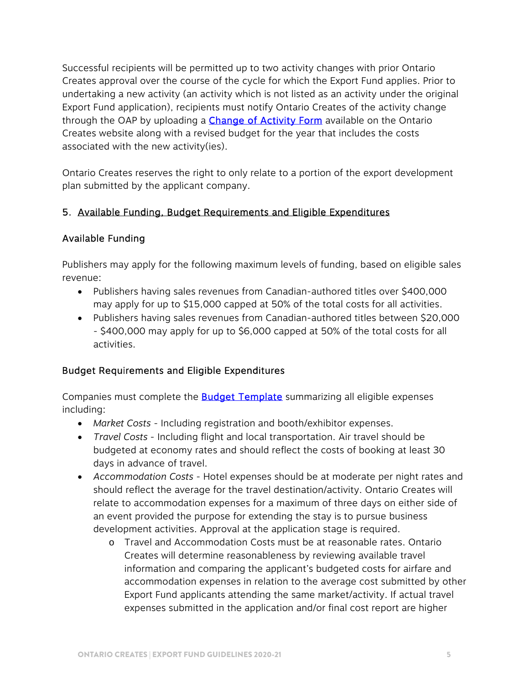Successful recipients will be permitted up to two activity changes with prior Ontario Creates approval over the course of the cycle for which the Export Fund applies. Prior to undertaking a new activity (an activity which is not listed as an activity under the original Export Fund application), recipients must notify Ontario Creates of the activity change through the OAP by uploading a **Change of Activity Form** available on the Ontario Creates website along with a revised budget for the year that includes the costs associated with the new activity(ies).

Ontario Creates reserves the right to only relate to a portion of the export development plan submitted by the applicant company.

### 5. Available Funding, Budget Requirements and Eligible Expenditures

### Available Funding

Publishers may apply for the following maximum levels of funding, based on eligible sales revenue:

- Publishers having sales revenues from Canadian-authored titles over \$400,000 may apply for up to \$15,000 capped at 50% of the total costs for all activities.
- Publishers having sales revenues from Canadian-authored titles between \$20,000 - \$400,000 may apply for up to \$6,000 capped at 50% of the total costs for all activities.

### Budget Requirements and Eligible Expenditures

Companies must complete the **Budget Template** summarizing all eligible expenses including:

- *Market Costs* Including registration and booth/exhibitor expenses.
- *Travel Costs*  Including flight and local transportation. Air travel should be budgeted at economy rates and should reflect the costs of booking at least 30 days in advance of travel.
- *Accommodation Costs* Hotel expenses should be at moderate per night rates and should reflect the average for the travel destination/activity. Ontario Creates will relate to accommodation expenses for a maximum of three days on either side of an event provided the purpose for extending the stay is to pursue business development activities. Approval at the application stage is required.
	- o Travel and Accommodation Costs must be at reasonable rates. Ontario Creates will determine reasonableness by reviewing available travel information and comparing the applicant's budgeted costs for airfare and accommodation expenses in relation to the average cost submitted by other Export Fund applicants attending the same market/activity. If actual travel expenses submitted in the application and/or final cost report are higher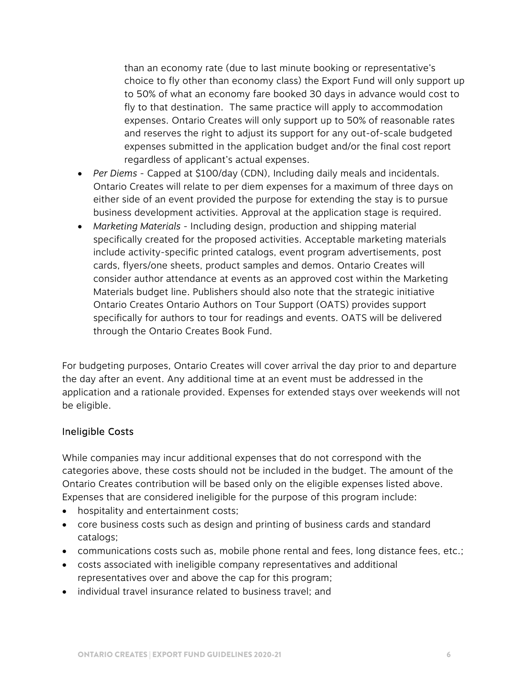than an economy rate (due to last minute booking or representative's choice to fly other than economy class) the Export Fund will only support up to 50% of what an economy fare booked 30 days in advance would cost to fly to that destination. The same practice will apply to accommodation expenses. Ontario Creates will only support up to 50% of reasonable rates and reserves the right to adjust its support for any out-of-scale budgeted expenses submitted in the application budget and/or the final cost report regardless of applicant's actual expenses.

- *Per Diems* Capped at \$100/day (CDN), Including daily meals and incidentals. Ontario Creates will relate to per diem expenses for a maximum of three days on either side of an event provided the purpose for extending the stay is to pursue business development activities. Approval at the application stage is required.
- *Marketing Materials* Including design, production and shipping material specifically created for the proposed activities. Acceptable marketing materials include activity-specific printed catalogs, event program advertisements, post cards, flyers/one sheets, product samples and demos. Ontario Creates will consider author attendance at events as an approved cost within the Marketing Materials budget line. Publishers should also note that the strategic initiative Ontario Creates Ontario Authors on Tour Support (OATS) provides support specifically for authors to tour for readings and events. OATS will be delivered through the Ontario Creates Book Fund.

For budgeting purposes, Ontario Creates will cover arrival the day prior to and departure the day after an event. Any additional time at an event must be addressed in the application and a rationale provided. Expenses for extended stays over weekends will not be eligible.

#### Ineligible Costs

While companies may incur additional expenses that do not correspond with the categories above, these costs should not be included in the budget. The amount of the Ontario Creates contribution will be based only on the eligible expenses listed above. Expenses that are considered ineligible for the purpose of this program include:

- hospitality and entertainment costs;
- core business costs such as design and printing of business cards and standard catalogs;
- communications costs such as, mobile phone rental and fees, long distance fees, etc.;
- costs associated with ineligible company representatives and additional representatives over and above the cap for this program;
- individual travel insurance related to business travel; and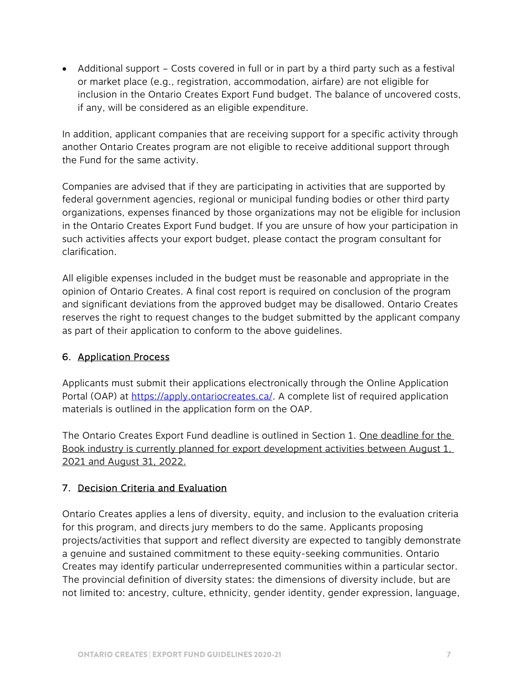Additional support – Costs covered in full or in part by a third party such as a festival or market place (e.g., registration, accommodation, airfare) are not eligible for inclusion in the Ontario Creates Export Fund budget. The balance of uncovered costs, if any, will be considered as an eligible expenditure.

In addition, applicant companies that are receiving support for a specific activity through another Ontario Creates program are not eligible to receive additional support through the Fund for the same activity.

Companies are advised that if they are participating in activities that are supported by federal government agencies, regional or municipal funding bodies or other third party organizations, expenses financed by those organizations may not be eligible for inclusion in the Ontario Creates Export Fund budget. If you are unsure of how your participation in such activities affects your export budget, please contact the program consultant for clarification.

All eligible expenses included in the budget must be reasonable and appropriate in the opinion of Ontario Creates. A final cost report is required on conclusion of the program and significant deviations from the approved budget may be disallowed. Ontario Creates reserves the right to request changes to the budget submitted by the applicant company as part of their application to conform to the above guidelines.

### 6. Application Process

Applicants must submit their applications electronically through the Online Application Portal (OAP) at [https://apply.ontariocreates.ca/. A](https://apply.ontariocreates.ca/) complete list of required application materials is outlined in the application form on the OAP.

The Ontario Creates Export Fund deadline is outlined in Section 1. One deadline for the Book industry is currently planned for export development activities between August 1, 2021 and August 31, 2022.

### 7. Decision Criteria and Evaluation

Ontario Creates applies a lens of diversity, equity, and inclusion to the evaluation criteria for this program, and directs jury members to do the same. Applicants proposing projects/activities that support and reflect diversity are expected to tangibly demonstrate a genuine and sustained commitment to these equity-seeking communities. Ontario Creates may identify particular underrepresented communities within a particular sector. The provincial definition of diversity states: the dimensions of diversity include, but are not limited to: ancestry, culture, ethnicity, gender identity, gender expression, language,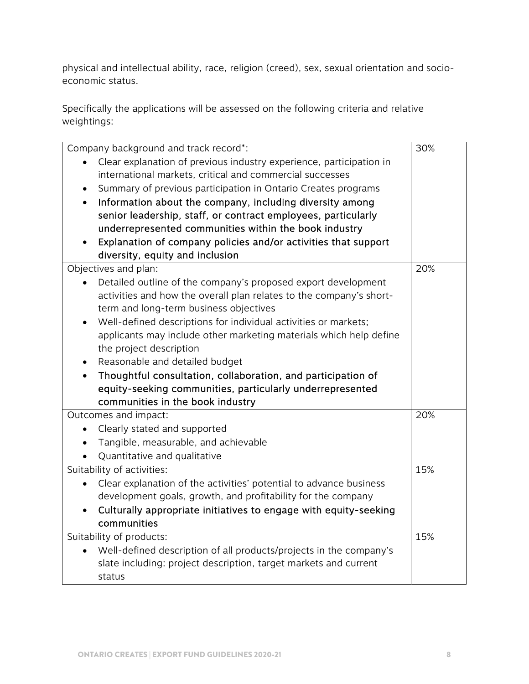physical and intellectual ability, race, religion (creed), sex, sexual orientation and socioeconomic status.

Specifically the applications will be assessed on the following criteria and relative weightings:

| Company background and track record*:                                           | 30% |
|---------------------------------------------------------------------------------|-----|
| Clear explanation of previous industry experience, participation in             |     |
| international markets, critical and commercial successes                        |     |
| Summary of previous participation in Ontario Creates programs<br>$\bullet$      |     |
| Information about the company, including diversity among<br>$\bullet$           |     |
| senior leadership, staff, or contract employees, particularly                   |     |
| underrepresented communities within the book industry                           |     |
| Explanation of company policies and/or activities that support                  |     |
| diversity, equity and inclusion                                                 |     |
| Objectives and plan:                                                            | 20% |
| Detailed outline of the company's proposed export development<br>$\bullet$      |     |
| activities and how the overall plan relates to the company's short-             |     |
| term and long-term business objectives                                          |     |
| Well-defined descriptions for individual activities or markets;                 |     |
| applicants may include other marketing materials which help define              |     |
| the project description                                                         |     |
| Reasonable and detailed budget                                                  |     |
|                                                                                 |     |
| Thoughtful consultation, collaboration, and participation of                    |     |
| equity-seeking communities, particularly underrepresented                       |     |
| communities in the book industry                                                |     |
| Outcomes and impact:                                                            | 20% |
| Clearly stated and supported<br>$\bullet$                                       |     |
| Tangible, measurable, and achievable                                            |     |
| Quantitative and qualitative                                                    |     |
| Suitability of activities:                                                      | 15% |
| Clear explanation of the activities' potential to advance business<br>$\bullet$ |     |
| development goals, growth, and profitability for the company                    |     |
| Culturally appropriate initiatives to engage with equity-seeking                |     |
| communities                                                                     |     |
| Suitability of products:                                                        | 15% |
| Well-defined description of all products/projects in the company's<br>$\bullet$ |     |
| slate including: project description, target markets and current                |     |
| status                                                                          |     |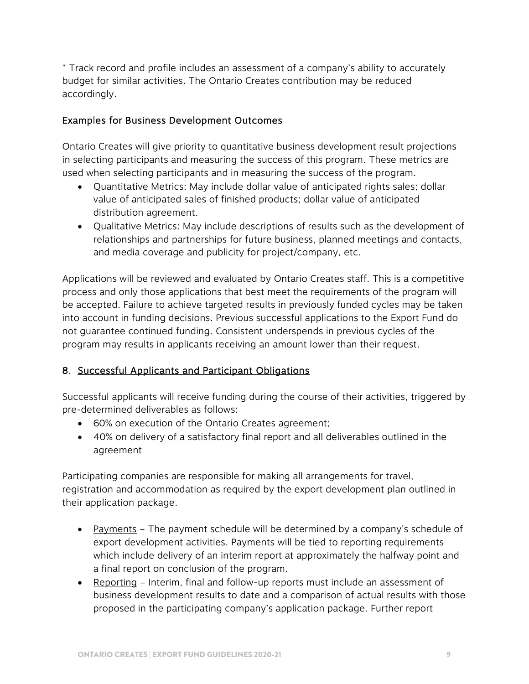\* Track record and profile includes an assessment of a company's ability to accurately budget for similar activities. The Ontario Creates contribution may be reduced accordingly.

#### Examples for Business Development Outcomes

Ontario Creates will give priority to quantitative business development result projections in selecting participants and measuring the success of this program. These metrics are used when selecting participants and in measuring the success of the program.

- Quantitative Metrics: May include dollar value of anticipated rights sales; dollar value of anticipated sales of finished products; dollar value of anticipated distribution agreement.
- Qualitative Metrics: May include descriptions of results such as the development of relationships and partnerships for future business, planned meetings and contacts, and media coverage and publicity for project/company, etc.

Applications will be reviewed and evaluated by Ontario Creates staff. This is a competitive process and only those applications that best meet the requirements of the program will be accepted. Failure to achieve targeted results in previously funded cycles may be taken into account in funding decisions. Previous successful applications to the Export Fund do not guarantee continued funding. Consistent underspends in previous cycles of the program may results in applicants receiving an amount lower than their request.

### 8. Successful Applicants and Participant Obligations

Successful applicants will receive funding during the course of their activities, triggered by pre-determined deliverables as follows:

- 60% on execution of the Ontario Creates agreement;
- 40% on delivery of a satisfactory final report and all deliverables outlined in the agreement

Participating companies are responsible for making all arrangements for travel, registration and accommodation as required by the export development plan outlined in their application package.

- Payments The payment schedule will be determined by a company's schedule of export development activities. Payments will be tied to reporting requirements which include delivery of an interim report at approximately the halfway point and a final report on conclusion of the program.
- Reporting Interim, final and follow-up reports must include an assessment of business development results to date and a comparison of actual results with those proposed in the participating company's application package. Further report